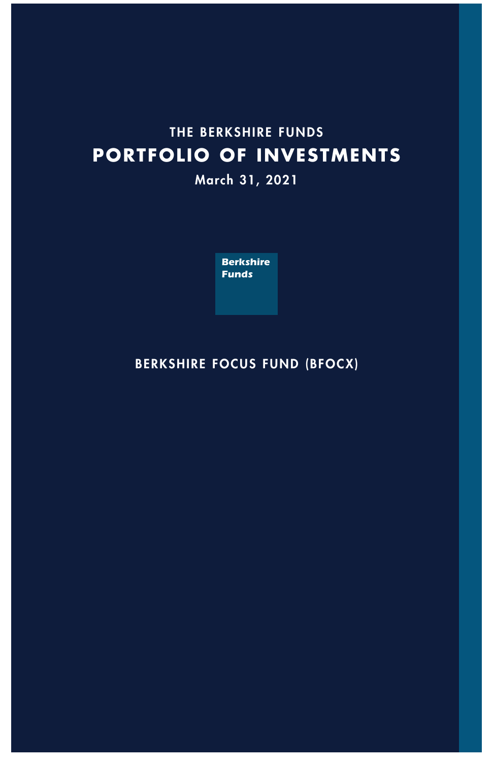# **THE BERKSHIRE FUNDS PORTFOLIO OF INVESTMENTS**

**March 31, 2021**



## **BERKSHIRE FOCUS FUND (BFOCX)**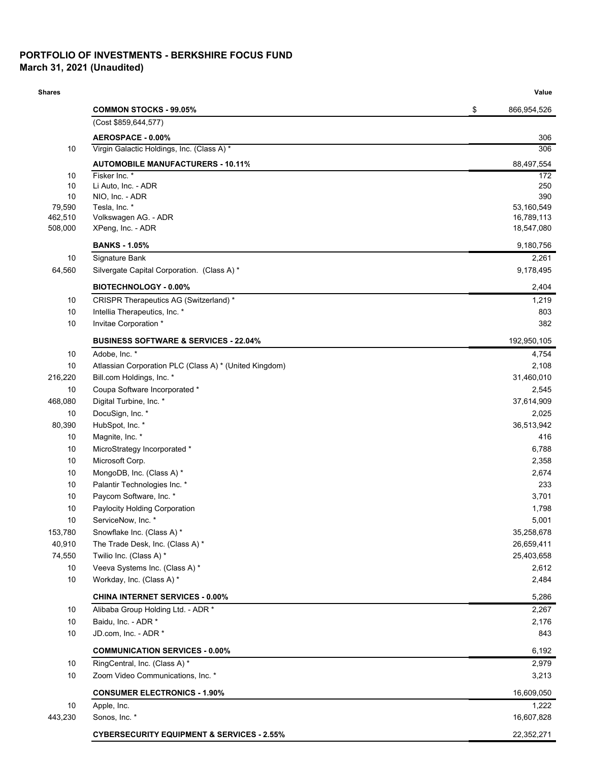### **PORTFOLIO OF INVESTMENTS - BERKSHIRE FOCUS FUND March 31, 2021 (Unaudited)**

| <b>Shares</b>      |                                                        | Value                    |
|--------------------|--------------------------------------------------------|--------------------------|
|                    | <b>COMMON STOCKS - 99.05%</b>                          | \$<br>866,954,526        |
|                    | (Cost \$859,644,577)                                   |                          |
|                    | AEROSPACE - 0.00%                                      | 306                      |
| 10                 | Virgin Galactic Holdings, Inc. (Class A) *             | 306                      |
|                    | <b>AUTOMOBILE MANUFACTURERS - 10.11%</b>               | 88,497,554               |
| 10                 | Fisker Inc. *                                          | 172                      |
| 10                 | Li Auto, Inc. - ADR                                    | 250                      |
| 10                 | NIO, Inc. - ADR                                        | 390                      |
| 79,590             | Tesla, Inc. *                                          | 53,160,549               |
| 462,510<br>508,000 | Volkswagen AG. - ADR<br>XPeng, Inc. - ADR              | 16,789,113<br>18,547,080 |
|                    |                                                        |                          |
|                    | <b>BANKS - 1.05%</b>                                   | 9,180,756                |
| 10                 | Signature Bank                                         | 2,261                    |
| 64,560             | Silvergate Capital Corporation. (Class A) *            | 9,178,495                |
|                    | <b>BIOTECHNOLOGY - 0.00%</b>                           | 2,404                    |
| 10                 | CRISPR Therapeutics AG (Switzerland) *                 | 1,219                    |
| 10                 | Intellia Therapeutics, Inc. *                          | 803                      |
| 10                 | Invitae Corporation *                                  | 382                      |
|                    | <b>BUSINESS SOFTWARE &amp; SERVICES - 22.04%</b>       | 192,950,105              |
| 10                 | Adobe, Inc. *                                          | 4,754                    |
| 10                 | Atlassian Corporation PLC (Class A) * (United Kingdom) | 2,108                    |
| 216,220            | Bill.com Holdings, Inc. *                              | 31,460,010               |
| 10                 | Coupa Software Incorporated *                          | 2,545                    |
| 468,080            | Digital Turbine, Inc. *                                | 37,614,909               |
| 10                 | DocuSign, Inc. *                                       | 2,025                    |
| 80,390             | HubSpot, Inc. *                                        | 36,513,942               |
| 10                 | Magnite, Inc. *                                        | 416                      |
| 10                 | MicroStrategy Incorporated *                           | 6,788                    |
| 10                 | Microsoft Corp.                                        | 2,358                    |
| 10                 | MongoDB, Inc. (Class A) *                              | 2,674                    |
| 10                 | Palantir Technologies Inc. *                           | 233                      |
| 10                 | Paycom Software, Inc. *                                | 3,701                    |
| 10                 | Paylocity Holding Corporation                          | 1,798                    |
| 10                 | ServiceNow, Inc.                                       | 5,001                    |
| 153,780            | Snowflake Inc. (Class A) *                             | 35,258,678               |
| 40,910             | The Trade Desk, Inc. (Class A) *                       | 26,659,411               |
| 74,550             | Twilio Inc. (Class A) *                                | 25,403,658               |
| 10                 | Veeva Systems Inc. (Class A) *                         | 2,612                    |
| 10                 | Workday, Inc. (Class A) *                              | 2,484                    |
|                    | <b>CHINA INTERNET SERVICES - 0.00%</b>                 | 5,286                    |
| 10                 | Alibaba Group Holding Ltd. - ADR *                     | 2,267                    |
| 10                 | Baidu, Inc. - ADR *                                    | 2,176                    |
| 10                 | JD.com, Inc. - ADR *                                   | 843                      |
|                    | <b>COMMUNICATION SERVICES - 0.00%</b>                  | 6,192                    |
| 10                 | RingCentral, Inc. (Class A) *                          | 2,979                    |
| 10<br>10           | Zoom Video Communications, Inc. *                      | 3,213                    |
|                    | <b>CONSUMER ELECTRONICS - 1.90%</b>                    | 16,609,050               |
|                    | Apple, Inc.                                            | 1,222                    |
| 443,230            | Sonos, Inc. *                                          | 16,607,828               |
|                    | <b>CYBERSECURITY EQUIPMENT &amp; SERVICES - 2.55%</b>  | 22,352,271               |
|                    |                                                        |                          |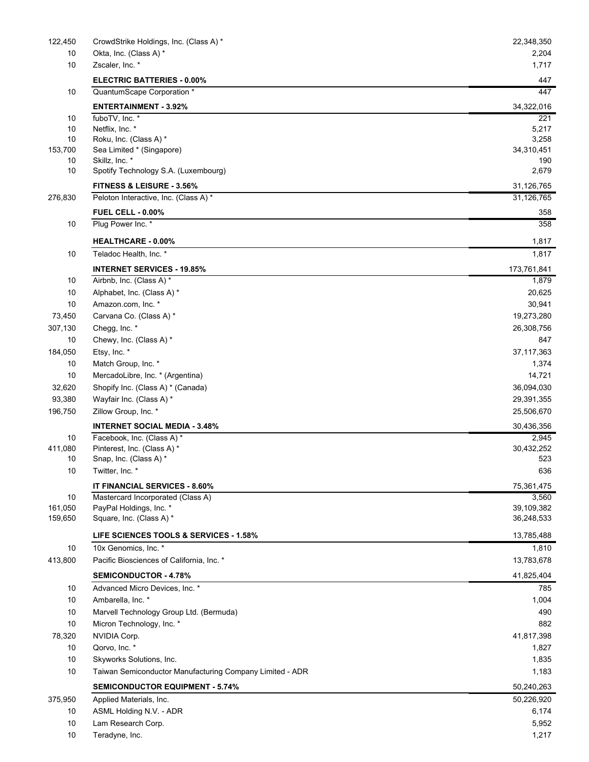| 122,450       | CrowdStrike Holdings, Inc. (Class A) *                   | 22,348,350          |
|---------------|----------------------------------------------------------|---------------------|
| 10            | Okta, Inc. (Class A) *                                   | 2,204               |
| 10            | Zscaler, Inc. *                                          | 1,717               |
|               | <b>ELECTRIC BATTERIES - 0.00%</b>                        | 447                 |
| 10            | QuantumScape Corporation *                               | 447                 |
|               | <b>ENTERTAINMENT - 3.92%</b>                             | 34,322,016          |
| 10            | fuboTV, Inc. *                                           | 221                 |
| 10            | Netflix, Inc. *                                          | 5,217               |
| 10<br>153,700 | Roku, Inc. (Class A) *<br>Sea Limited * (Singapore)      | 3,258<br>34,310,451 |
| 10            | Skillz, Inc. *                                           | 190                 |
| 10            | Spotify Technology S.A. (Luxembourg)                     | 2,679               |
|               | <b>FITNESS &amp; LEISURE - 3.56%</b>                     | 31,126,765          |
| 276,830       | Peloton Interactive, Inc. (Class A) *                    | 31,126,765          |
|               | <b>FUEL CELL - 0.00%</b>                                 | 358                 |
| 10            | Plug Power Inc. *                                        | 358                 |
|               | <b>HEALTHCARE - 0.00%</b>                                | 1,817               |
| 10            | Teladoc Health, Inc. *                                   | 1,817               |
|               | <b>INTERNET SERVICES - 19.85%</b>                        | 173,761,841         |
| 10            | Airbnb, Inc. (Class A) *                                 | 1,879               |
| 10            | Alphabet, Inc. (Class A) *                               | 20,625              |
| 10            | Amazon.com, Inc. *                                       | 30,941              |
| 73,450        | Carvana Co. (Class A) *                                  | 19,273,280          |
| 307,130       | Chegg, Inc. *                                            | 26,308,756          |
| 10            | Chewy, Inc. (Class A) *                                  | 847                 |
| 184,050       | Etsy, Inc. *                                             | 37, 117, 363        |
| 10            | Match Group, Inc. *                                      | 1,374               |
| 10            | MercadoLibre, Inc. * (Argentina)                         | 14,721              |
| 32,620        | Shopify Inc. (Class A) * (Canada)                        | 36,094,030          |
| 93,380        | Wayfair Inc. (Class A) *                                 | 29,391,355          |
| 196,750       | Zillow Group, Inc. *                                     | 25,506,670          |
|               | <b>INTERNET SOCIAL MEDIA - 3.48%</b>                     | 30,436,356          |
| 10            | Facebook, Inc. (Class A) *                               | 2,945               |
| 411,080       | Pinterest, Inc. (Class A) *                              | 30,432,252          |
| 10            | Snap, Inc. (Class A) *                                   | 523                 |
| 10            | Twitter, Inc. *                                          | 636                 |
|               | IT FINANCIAL SERVICES - 8.60%                            | 75,361,475          |
| 10            | Mastercard Incorporated (Class A)                        | 3,560               |
| 161,050       | PayPal Holdings, Inc. *                                  | 39,109,382          |
| 159,650       | Square, Inc. (Class A) *                                 | 36,248,533          |
|               | LIFE SCIENCES TOOLS & SERVICES - 1.58%                   | 13,785,488          |
| 10            | 10x Genomics, Inc. *                                     | 1,810               |
| 413,800       | Pacific Biosciences of California, Inc. *                | 13,783,678          |
|               | <b>SEMICONDUCTOR - 4.78%</b>                             | 41,825,404          |
| 10            | Advanced Micro Devices, Inc. *                           | 785                 |
| 10            | Ambarella, Inc. *                                        | 1,004               |
| 10            | Marvell Technology Group Ltd. (Bermuda)                  | 490                 |
| 10            | Micron Technology, Inc. *                                | 882                 |
| 78,320        | NVIDIA Corp.                                             | 41,817,398          |
| 10            | Qorvo, Inc. *                                            | 1,827               |
| 10            | Skyworks Solutions, Inc.                                 | 1,835               |
| 10            | Taiwan Semiconductor Manufacturing Company Limited - ADR | 1,183               |
|               | <b>SEMICONDUCTOR EQUIPMENT - 5.74%</b>                   | 50,240,263          |
| 375,950       | Applied Materials, Inc.                                  | 50,226,920          |
| 10            | ASML Holding N.V. - ADR                                  | 6,174               |
| 10            | Lam Research Corp.                                       | 5,952               |
| 10            | Teradyne, Inc.                                           | 1,217               |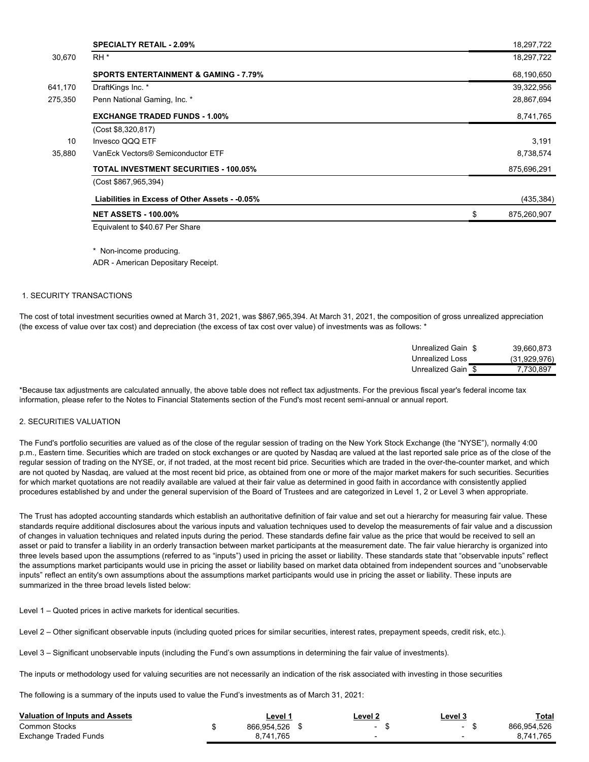|         | <b>SPECIALTY RETAIL - 2.09%</b>                  | 18,297,722        |
|---------|--------------------------------------------------|-------------------|
| 30.670  | RH <sup>*</sup>                                  | 18,297,722        |
|         | <b>SPORTS ENTERTAINMENT &amp; GAMING - 7.79%</b> | 68,190,650        |
| 641,170 | DraftKings Inc. *                                | 39,322,956        |
| 275,350 | Penn National Gaming, Inc. *                     | 28,867,694        |
|         | <b>EXCHANGE TRADED FUNDS - 1.00%</b>             | 8,741,765         |
|         | (Cost \$8,320,817)                               |                   |
| 10      | Invesco QQQ ETF                                  | 3,191             |
| 35,880  | VanEck Vectors® Semiconductor ETF                | 8,738,574         |
|         | <b>TOTAL INVESTMENT SECURITIES - 100.05%</b>     | 875,696,291       |
|         | (Cost \$867,965,394)                             |                   |
|         | Liabilities in Excess of Other Assets - -0.05%   | (435, 384)        |
|         | <b>NET ASSETS - 100.00%</b>                      | \$<br>875,260,907 |
|         | Equivalent to \$40.67 Per Share                  |                   |

\* Non-income producing.

ADR - American Depositary Receipt.

### 1. SECURITY TRANSACTIONS

The cost of total investment securities owned at March 31, 2021, was \$867,965,394. At March 31, 2021, the composition of gross unrealized appreciation (the excess of value over tax cost) and depreciation (the excess of tax cost over value) of investments was as follows: \*

| Unrealized Gain \$ | 39.660.873   |
|--------------------|--------------|
| Unrealized Loss    | (31,929,976) |
| Unrealized Gain \$ | 7.730.897    |

\*Because tax adjustments are calculated annually, the above table does not reflect tax adjustments. For the previous fiscal year's federal income tax information, please refer to the Notes to Financial Statements section of the Fund's most recent semi-annual or annual report.

#### 2. SECURITIES VALUATION

The Fund's portfolio securities are valued as of the close of the regular session of trading on the New York Stock Exchange (the "NYSE"), normally 4:00 p.m., Eastern time. Securities which are traded on stock exchanges or are quoted by Nasdaq are valued at the last reported sale price as of the close of the regular session of trading on the NYSE, or, if not traded, at the most recent bid price. Securities which are traded in the over-the-counter market, and which are not quoted by Nasdaq, are valued at the most recent bid price, as obtained from one or more of the major market makers for such securities. Securities for which market quotations are not readily available are valued at their fair value as determined in good faith in accordance with consistently applied procedures established by and under the general supervision of the Board of Trustees and are categorized in Level 1, 2 or Level 3 when appropriate.

The Trust has adopted accounting standards which establish an authoritative definition of fair value and set out a hierarchy for measuring fair value. These standards require additional disclosures about the various inputs and valuation techniques used to develop the measurements of fair value and a discussion of changes in valuation techniques and related inputs during the period. These standards define fair value as the price that would be received to sell an asset or paid to transfer a liability in an orderly transaction between market participants at the measurement date. The fair value hierarchy is organized into three levels based upon the assumptions (referred to as "inputs") used in pricing the asset or liability. These standards state that "observable inputs" reflect the assumptions market participants would use in pricing the asset or liability based on market data obtained from independent sources and "unobservable inputs" reflect an entity's own assumptions about the assumptions market participants would use in pricing the asset or liability. These inputs are summarized in the three broad levels listed below:

Level 1 – Quoted prices in active markets for identical securities.

Level 2 – Other significant observable inputs (including quoted prices for similar securities, interest rates, prepayment speeds, credit risk, etc.).

Level 3 – Significant unobservable inputs (including the Fund's own assumptions in determining the fair value of investments).

The inputs or methodology used for valuing securities are not necessarily an indication of the risk associated with investing in those securities

The following is a summary of the inputs used to value the Fund's investments as of March 31, 2021:

| <b>Valuation of Inputs and Assets</b> | Level ' | Level 2     | Level 3 | Total |             |
|---------------------------------------|---------|-------------|---------|-------|-------------|
| <b>Common Stocks</b>                  |         | 866.954.526 | ۰       |       | 866.954.526 |
| Exchange Traded Funds                 |         | 8.741.765   |         |       | 8.741.765   |